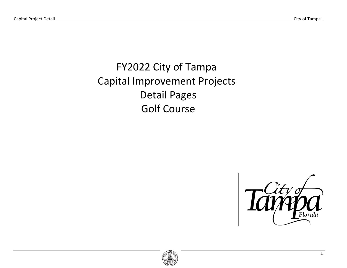# FY2022 City of Tampa Capital Improvement Projects Detail Pages Golf Course



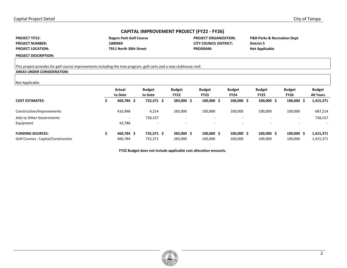# **CAPITAL IMPROVEMENT PROJECT (FY22 - FY26)**

**PROJECT TITLE: PROJECT NUMBER: PROJECT LOCATION:**  **7911 North 30th Street PROGRAM:** 

Rogers Park Golf Course **PROJECT ORGANIZATION: 1000969 CITY COUNCIL DISTRICT:** 

**P&R-Parks & Recreation Dept District 5 Not Applicable** 

**PROJECT DESCRIPTION:** 

This project provides for golf course improvements including the tree program, golf carts and a new clubhouse roof.

## **AREAS UNDER CONSIDERATION:**

#### Not Applicable

| .                                                              | Actual<br>to Date        | <b>Budget</b><br>to Date | <b>Budget</b><br><b>FY22</b> | <b>Budget</b><br><b>FY23</b>     | <b>Budget</b><br><b>FY24</b> | <b>Budget</b><br><b>FY25</b> | <b>Budget</b><br><b>FY26</b>     | <b>Budget</b><br><b>All Years</b> |
|----------------------------------------------------------------|--------------------------|--------------------------|------------------------------|----------------------------------|------------------------------|------------------------------|----------------------------------|-----------------------------------|
| <b>COST ESTIMATES:</b>                                         | 460,784 \$               | 732,371 \$               | 283,000 \$                   | $100,000 \text{ } \text{S}$      | $100,000 \text{ }$ \$        | $100,000 \,$ \$              | $100,000 \text{ }$ \$            | 1,415,371                         |
| Construction/Improvements                                      | 416,998                  | 4,214                    | 283,000                      | 100,000                          | 100,000                      | 100,000                      | 100,000                          | 687,214                           |
| Aids to Other Governments                                      | $\overline{\phantom{a}}$ | 728,157                  | $\overline{\phantom{0}}$     | -                                |                              |                              | $\overline{\phantom{a}}$         | 728,157                           |
| Equipment                                                      | 43,786                   |                          | $\overline{\phantom{0}}$     | $\overline{\phantom{a}}$         |                              |                              | $\overline{a}$                   |                                   |
| <b>FUNDING SOURCES:</b><br>Golf Courses - Capital/Construction | 460,784 \$<br>460,784    | 732,371 \$<br>732,371    | 283,000 \$<br>283,000        | $100,000 \; \text{S}$<br>100,000 | $100,000 \;$ \$<br>100,000   | $100,000 \,$ \$<br>100,000   | $100,000 \text{ }$ \$<br>100,000 | 1,415,371<br>1,415,371            |
|                                                                |                          |                          |                              |                                  |                              |                              |                                  |                                   |

**FY22 Budget does not include applicable cost allocation amounts.** 

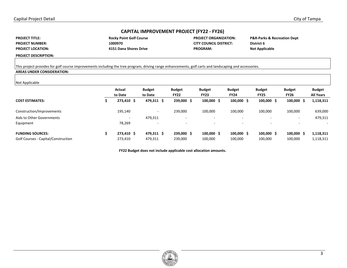# **CAPITAL IMPROVEMENT PROJECT (FY22 - FY26)**

**PROJECT TITLE: PROJECT NUMBER: PROJECT LOCATION:** 

| <b>Rocky Point Golf Course</b> |
|--------------------------------|
| 1000970                        |
| 4151 Dana Shores Drive         |

**PROJECT ORGANIZATION: CITY COUNCIL DISTRICT: PROGRAM:** 

**P&R-Parks & Recreation Dept District 6 Not Applicable** 

**PROJECT DESCRIPTION:** 

#### This project provides for golf course improvements including the tree program, driving range enhancements, golf carts and landscaping and accessories.

## **AREAS UNDER CONSIDERATION:**

| Not Applicable                      |                          |                          |                              |                              |                              |                              |                              |                                   |
|-------------------------------------|--------------------------|--------------------------|------------------------------|------------------------------|------------------------------|------------------------------|------------------------------|-----------------------------------|
|                                     | Actual<br>to Date        | <b>Budget</b><br>to Date | <b>Budget</b><br><b>FY22</b> | <b>Budget</b><br><b>FY23</b> | <b>Budget</b><br><b>FY24</b> | <b>Budget</b><br><b>FY25</b> | <b>Budget</b><br><b>FY26</b> | <b>Budget</b><br><b>All Years</b> |
| <b>COST ESTIMATES:</b>              | 273,410 \$               | 479,311 \$               | 239,000 \$                   | $100,000 \; \text{S}$        | $100,000 \;$ \$              | $100,000 \text{ }$ \$        | $100,000$ \$                 | 1,118,311                         |
| Construction/Improvements           | 195,140                  | $\overline{\phantom{a}}$ | 239,000                      | 100,000                      | 100,000                      | 100,000                      | 100,000                      | 639,000                           |
| Aids to Other Governments           | $\overline{\phantom{a}}$ | 479,311                  | -                            | $\overline{\phantom{0}}$     |                              |                              | $\sim$                       | 479,311                           |
| Equipment                           | 78,269                   |                          |                              |                              |                              |                              |                              |                                   |
| <b>FUNDING SOURCES:</b>             | 273,410 \$               | 479,311 \$               | 239,000 \$                   | $100,000 \; \text{S}$        | $100,000 \;$ \$              | $100,000 \text{ }$ \$        | $100,000 \;$ \$              | 1,118,311                         |
| Golf Courses - Capital/Construction | 273,410                  | 479,311                  | 239,000                      | 100,000                      | 100,000                      | 100,000                      | 100,000                      | 1,118,311                         |

**FY22 Budget does not include applicable cost allocation amounts.**